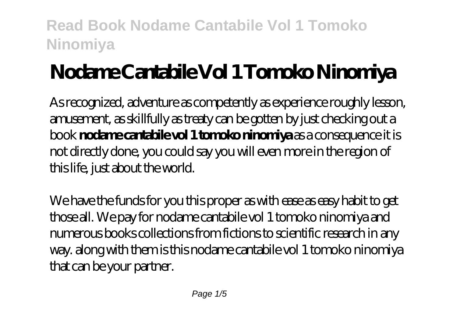# **Nodame Cantabile Vol 1 Tomoko Ninomiya**

As recognized, adventure as competently as experience roughly lesson, amusement, as skillfully as treaty can be gotten by just checking out a book **nodame cantabile vol 1 tomoko ninomiya** as a consequence it is not directly done, you could say you will even more in the region of this life, just about the world.

We have the funds for you this proper as with ease as easy habit to get those all. We pay for nodame cantabile vol 1 tomoko ninomiya and numerous books collections from fictions to scientific research in any way. along with them is this nodame cantabile vol 1 tomoko ninomiya that can be your partner.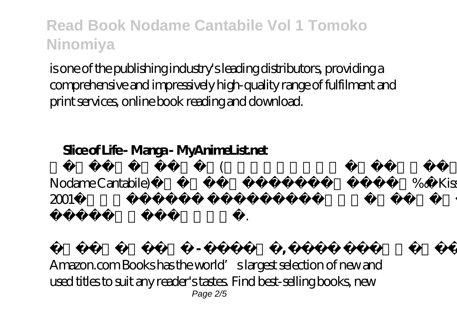is one of the publishing industry's leading distributors, providing a comprehensive and impressively high-quality range of fulfilment and print services, online book reading and download.

 $($ 

### **Slice of Life - Manga - MyAnimeList.net**

Nodame Cantabile)는 일본의 여성 만화잡지인 《Kiss》에  $2001$ 

도모코의 만화작품이다.

**노다메 탄타 방법 - 위키백과, 유리 모두의 배치** Amazon.com Books has the world's largest selection of new and used titles to suit any reader's tastes. Find best-selling books, new Page 2/5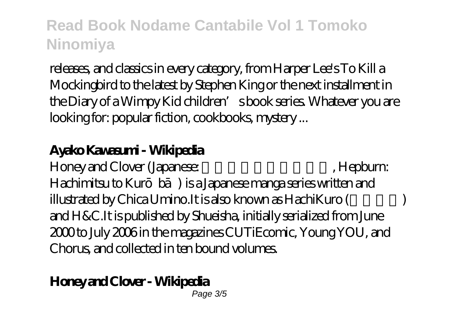releases, and classics in every category, from Harper Lee's To Kill a Mockingbird to the latest by Stephen King or the next installment in the Diary of a Wimpy Kid children's book series. Whatever you are looking for: popular fiction, cookbooks, mystery ...

#### **Ayako Kawasumi - Wikipedia**

Honey and Clover (Japanese: ۲۰۰۰), Hepburn: Hachimitsu to Kurbā) is a Japanese manga series written and illustrated by Chica Umino.It is also known as HachiKuro ( and H&C.It is published by Shueisha, initially serialized from June 2000 to July 2006 in the magazines CUTiEcomic, Young YOU, and Chorus, and collected in ten bound volumes.

## **Honey and Clover - Wikipedia**

Page 3/5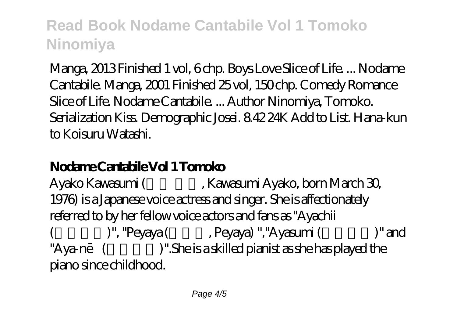Manga, 2013 Finished 1 vol, 6 chp. Boys Love Slice of Life. ... Nodame Cantabile. Manga, 2001 Finished 25 vol, 150 chp. Comedy Romance Slice of Life. Nodame Cantabile. ... Author Ninomiya, Tomoko. Serialization Kiss. Demographic Josei. 8.42 24K Add to List. Hana-kun to Koisuru Watashi.

## **Nodame Cantabile Vol 1 Tomoko**

Ayako Kawasumi (Kawasumi Ayako, born March 30, 1976) is a Japanese voice actress and singer. She is affectionately referred to by her fellow voice actors and fans as "Ayachii )", "Peyaya (Reyaya (Reyaya) ","Ayasumi (Computer said "Aya-n $($ )".She is a skilled pianist as she has played the piano since childhood.